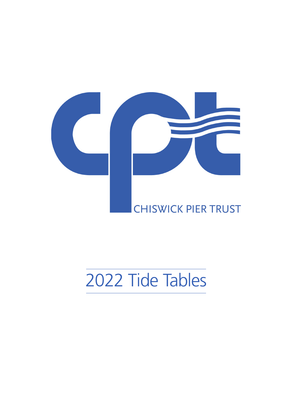

# 2 Tide Tables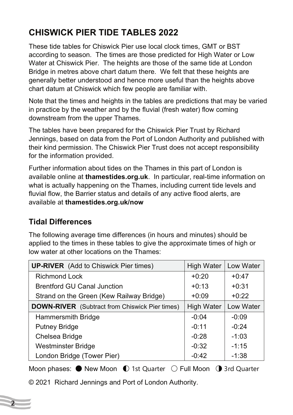# **CHISWICK PIER TIDE TABLES 2022**

These tide tables for Chiswick Pier use local clock times, GMT or BST according to season. The times are those predicted for High Water or Low Water at Chiswick Pier. The heights are those of the same tide at London Bridge in metres above chart datum there. We felt that these heights are generally better understood and hence more useful than the heights above chart datum at Chiswick which few people are familiar with.

Note that the times and heights in the tables are predictions that may be varied in practice by the weather and by the fluvial (fresh water) flow coming downstream from the upper Thames.

The tables have been prepared for the Chiswick Pier Trust by Richard Jennings, based on data from the Port of London Authority and published with their kind permission. The Chiswick Pier Trust does not accept responsibility for the information provided.

Further information about tides on the Thames in this part of London is available online at **thamestides.org.uk**. In particular, real-time information on what is actually happening on the Thames, including current tide levels and fluvial flow, the Barrier status and details of any active flood alerts, are available at **thamestides.org.uk/now**

#### **Tidal Differences**

**2**

The following average time differences (in hours and minutes) should be applied to the times in these tables to give the approximate times of high or low water at other locations on the Thames:

| <b>UP-RIVER</b> (Add to Chiswick Pier times)          | <b>High Water</b> | Low Water |  |
|-------------------------------------------------------|-------------------|-----------|--|
| <b>Richmond Lock</b>                                  | $+0:20$           | $+0.47$   |  |
| <b>Brentford GU Canal Junction</b>                    | $+0:13$           | $+0:31$   |  |
| Strand on the Green (Kew Railway Bridge)              | $+0:09$           | $+0.22$   |  |
| <b>DOWN-RIVER</b> (Subtract from Chiswick Pier times) | <b>High Water</b> | Low Water |  |
| Hammersmith Bridge                                    | $-0:04$           | $-0:09$   |  |
| <b>Putney Bridge</b>                                  | $-0:11$           | $-0:24$   |  |
| Chelsea Bridge                                        | $-0:28$           | $-1:03$   |  |
| <b>Westminster Bridge</b>                             | $-0:32$           | $-1:15$   |  |
| London Bridge (Tower Pier)                            | $-0:42$           | $-1:38$   |  |

Moon phases:  $\bullet$  New Moon  $\bullet$  1st Quarter  $\circlearrowright$  Full Moon  $\bullet$  3rd Quarter

© 2021 Richard Jennings and Port of London Authority.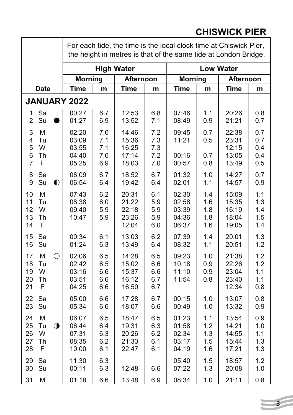# **CHISWICK PIER**

|                                                                     | For each tide, the time is the local clock time at Chiswick Pier,<br>the height in metres is that of the same tide at London Bridge. |                                 |                                           |                                 |                                           |                                 |                                           |                                 |
|---------------------------------------------------------------------|--------------------------------------------------------------------------------------------------------------------------------------|---------------------------------|-------------------------------------------|---------------------------------|-------------------------------------------|---------------------------------|-------------------------------------------|---------------------------------|
|                                                                     |                                                                                                                                      |                                 | <b>High Water</b>                         |                                 |                                           |                                 | <b>Low Water</b>                          |                                 |
|                                                                     | <b>Morning</b>                                                                                                                       |                                 | <b>Afternoon</b>                          |                                 | <b>Morning</b>                            |                                 | Afternoon                                 |                                 |
| <b>Date</b>                                                         | <b>Time</b>                                                                                                                          | m                               | <b>Time</b>                               | m                               | <b>Time</b>                               | m                               | <b>Time</b>                               | m                               |
| <b>JANUARY 2022</b>                                                 |                                                                                                                                      |                                 |                                           |                                 |                                           |                                 |                                           |                                 |
| Sa<br>1<br>Su<br>$\overline{2}$                                     | 00:27<br>01:27                                                                                                                       | 6.7<br>6.9                      | 12:53<br>13:52                            | 6.8<br>7.1                      | 07:46<br>08:49                            | 1.1<br>0.9                      | 20:26<br>21:21                            | 0.8<br>0.7                      |
| 3<br>M<br>4<br>Tu<br>W<br>5<br>Th<br>6<br>F<br>7                    | 02:20<br>03:09<br>03:55<br>04:40<br>05:25                                                                                            | 7.0<br>7.1<br>7.1<br>7.0<br>6.9 | 14:46<br>15:36<br>16:25<br>17:14<br>18:03 | 7.2<br>7.3<br>7.3<br>7.2<br>7.0 | 09:45<br>11:21<br>00:16<br>00:57          | 0.7<br>0.5<br>0.7<br>0.8        | 22:38<br>23:31<br>12:15<br>13:05<br>13:49 | 0.7<br>0.7<br>0.4<br>0.4<br>0.5 |
| Sa<br>8<br>9<br>Su<br>$\bullet$                                     | 06:09<br>06:54                                                                                                                       | 6.7<br>6.4                      | 18:52<br>19:42                            | 6.7<br>6.4                      | 01:32<br>02:01                            | 1.0<br>1.1                      | 14:27<br>14:57                            | 0.7<br>0.9                      |
| M<br>10<br>Tu<br>11<br>W<br>12<br>13<br>Th<br>F<br>14               | 07:43<br>08:38<br>09:40<br>10:47                                                                                                     | 6.2<br>6.0<br>5.9<br>5.9        | 20:31<br>21:22<br>22:18<br>23:26<br>12:04 | 6.1<br>5.9<br>5.9<br>5.9<br>6.0 | 02:30<br>02:58<br>03:39<br>04:36<br>06:37 | 1.4<br>1.6<br>1.8<br>1.8<br>1.6 | 15:09<br>15:35<br>16:19<br>18:04<br>19:05 | 1.1<br>1.3<br>1.4<br>1.5<br>1.4 |
| Sa<br>15<br>16<br>Su                                                | 00:34<br>01:24                                                                                                                       | 6.1<br>6.3                      | 13:03<br>13:49                            | 6.2<br>6.4                      | 07:39<br>08:32                            | 1.4<br>1.1                      | 20:01<br>20:51                            | 1.3<br>1.2                      |
| $\bigcirc$<br>17<br>M<br>18<br>Tu<br>W<br>19<br>Th<br>20<br>F<br>21 | 02:06<br>02:42<br>03:16<br>03:51<br>04:25                                                                                            | 6.5<br>6.5<br>6.6<br>6.6<br>6.6 | 14:28<br>15:02<br>15:37<br>16:12<br>16:50 | 6.5<br>6.6<br>6.6<br>6.7<br>6.7 | 09:23<br>10:18<br>11:10<br>11:54          | 1.0<br>0.9<br>0.9<br>0.8        | 21:38<br>22:26<br>23:04<br>23:40<br>12:34 | 1.2<br>1.2<br>1.1<br>1.1<br>0.8 |
| Sa<br>22<br>Su<br>23                                                | 05:00<br>05:34                                                                                                                       | 6.6<br>6.6                      | 17:28<br>18:07                            | 6.7<br>6.6                      | 00:15<br>00:49                            | 1.0<br>1.0                      | 13:07<br>13:32                            | 0.8<br>0.9                      |
| M<br>24<br>$\bigcirc$<br>25<br>Tu<br>W<br>26<br>27<br>Th<br>F<br>28 | 06:07<br>06:44<br>07:31<br>08:35<br>10:00                                                                                            | 6.5<br>6.4<br>6.3<br>6.2<br>6.1 | 18:47<br>19:31<br>20:26<br>21:33<br>22:47 | 6.5<br>6.3<br>6.2<br>6.1<br>6.1 | 01:23<br>01:58<br>02:34<br>03:17<br>04:19 | 1.1<br>1.2<br>1.3<br>1.5<br>1.6 | 13:54<br>14:21<br>14:55<br>15:44<br>17:21 | 0.9<br>1.0<br>1.1<br>1.3<br>1.3 |
| 29<br>Sa<br>Su<br>30                                                | 11:30<br>00:11                                                                                                                       | 6.3<br>6.3                      | 12:48                                     | 6.6                             | 05:40<br>07:22                            | 1.5<br>1.3                      | 18:57<br>20:08                            | 1.2<br>1.0                      |
| M<br>31                                                             | 01:18                                                                                                                                | 6.6                             | 13:48                                     | 6.9                             | 08:34                                     | 1.0                             | 21:11                                     | 0.8                             |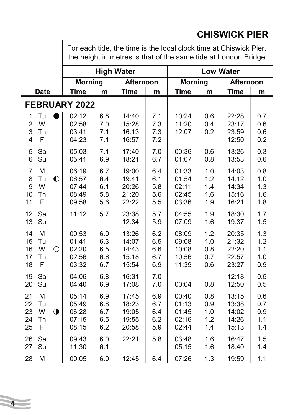#### **Date Time m Time m Time m Time m** For each tide, the time is the local clock time at Chiswick Pier, the height in metres is that of the same tide at London Bridge. **High Water Low Water Morning Afternoon Morning Afternoon FEBRUARY 2022** 1 Tu ●| 02:12 | 6.8 | 14:40 | 7.1 | 10:24 | 0.6 | 22:28 | 0.7 2 W 02:58 7.0 15:28 7.3 11:20 0.4 23:17 0.6 3 Th 03:41 7.1 16:13 7.3 12:07 0.2 23:59 0.6 4 F 04:23 7.1 16:57 7.2 12:50 0.2 5 Sa 05:03 7.1 17:40 7.0 00:36 0.6 13:26 0.3 6 Su 05:41 6.9 18:21 6.7 01:07 0.8 13:53 0.6 7 M | 06:19 | 6.7 | 19:00 | 6.4 | 01:33 | 1.0 | 14:03 | 0.8 8 Tu 06:57 6.4 19:41 6.1 01:54 1.2 14:12 1.0 9 W 07:44 6.1 20:26 5.8 02:11 1.4 14:34 1.3 10 Th 08:49 5.8 21:20 5.6 02:45 1.6 15:16 1.6 11 F | 09:58 | 5.6 | 22:22 | 5.5 | 03:36 | 1.9 | 16:21 | 1.8 12 Sa | 11:12 | 5.7 | 23:38 | 5.7 | 04:55 | 1.9 | 18:30 | 1.7 13 Su 12:34 5.9 07:09 1.6 19:37 1.5 14 M | 00:53 | 6.0 | 13:26 | 6.2 | 08:09 | 1.2 | 20:35 | 1.3 15 Tu | 01:41 | 6.3 | 14:07 | 6.5 | 09:08 | 1.0 | 21:32 | 1.2 16 W 02:20 6.5 14:43 6.6 10:08 0.8 22:20 1.1 17 Th 02:56 6.6 15:18 6.7 10:56 0.7 22:57 1.0 18 F 03:32 6.7 15:54 6.9 11:39 0.6 23:27 0.9 19 Sa | 04:06 | 6.8 | 16:31 | 7.0 | | 12:18 | 0.5 20 Su | 04:40 | 6.9 | 17:08 | 7.0 | 00:04 | 0.8 | 12:50 | 0.5 21 M | 05:14 | 6.9 | 17:45 | 6.9 | 00:40 | 0.8 | 13:15 | 0.6 22 Tu | 05:49 | 6.8 | 18:23 | 6.7 | 01:13 | 0.9 | 13:38 | 0.7 23 W 06:28 6.7 19:05 6.4 01:45 1.0 14:02 0.9 24 Th | 07:15 | 6.5 | 19:55 | 6.2 | 02:16 | 1.2 | 14:26 | 1.1 25 F | 08:15 | 6.2 | 20:58 | 5.9 | 02:44 | 1.4 | 15:13 | 1.4 26 Sa | 09:43 | 6.0 | 22:21 | 5.8 | 03:48 | 1.6 | 16:47 | 1.5 27 Su | 11:30 | 6.1 | | 05:15 | 1.6 | 18:40 | 1.4 28 M | 00:05 | 6.0 | 12:45 | 6.4 | 07:26 | 1.3 | 19:59 | 1.1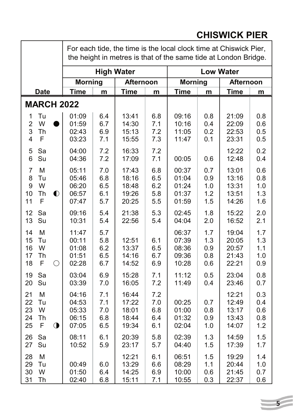#### **Date Time m Time m Time m Time m** For each tide, the time is the local clock time at Chiswick Pier, the height in metres is that of the same tide at London Bridge. **High Water Low Water Morning Afternoon Morning Afternoon MARCH 2022** 1 Tu 01:09 6.4 13:41 6.8 09:16 0.8 21:09 0.8 2 W ●| 01:59 | 6.7 | 14:30 | 7.1 | 10:16 | 0.4 | 22:09 | 0.6 3 Th 02:43 6.9 15:13 7.2 11:05 0.2 22:53 0.5 4 F 03:23 7.1 15:55 7.3 11:47 0.1 23:31 0.5 5 Sa 04:00 7.2 16:33 7.2 12:22 0.2 6 Su 04:36 7.2 17:09 7.1 00:05 0.6 12:48 0.4 7 M | 05:11 | 7.0 | 17:43 | 6.8 | 00:37 | 0.7 | 13:01 | 0.6 8 Tu | 05:46 | 6.8 | 18:16 | 6.5 | 01:04 | 0.9 | 13:16 | 0.8 9 W | 06:20 | 6.5 | 18:48 | 6.2 | 01:24 | 1.0 | 13:31 | 1.0 10 Th 06:57 6.1 19:26 5.8 01:37 1.2 13:51 1.3 11 F | 07:47 | 5.7 | 20:25 | 5.5 | 01:59 | 1.5 | 14:26 | 1.6 12 Sa | 09:16 | 5.4 | 21:38 | 5.3 | 02:45 | 1.8 | 15:22 | 2.0 13 Su | 10:31 | 5.4 | 22:56 | 5.4 | 04:04 | 2.0 | 16:52 | 2.1 14 M 11:47 5.7 06:37 1.7 19:04 1.7 15 Tu | 00:11 | 5.8 | 12:51 | 6.1 | 07:39 | 1.3 | 20:05 | 1.3 16 W 01:08 6.2 13:37 6.5 08:36 0.9 20:57 1.1 17 Th | 01:51 | 6.5 | 14:16 | 6.7 | 09:36 | 0.8 | 21:43 | 1.0 18 F 02:28 6.7 14:52 6.9 10:28 0.6 22:21 0.9 19 Sa | 03:04 | 6.9 | 15:28 | 7.1 | 11:12 | 0.5 | 23:04 | 0.8 20 Su 03:39 7.0 16:05 7.2 11:49 0.4 23:46 0.7 21 M | 04:16 | 7.1 | 16:44 | 7.2 | | | 12:21 | 0.3 22 Tu | 04:53 | 7.1 | 17:22 | 7.0 | 00:25 | 0.7 | 12:49 | 0.4 23 W | 05:33 | 7.0 | 18:01 | 6.8 | 01:00 | 0.8 | 13:17 | 0.6 24 Th | 06:15 | 6.8 | 18:44 | 6.4 | 01:32 | 0.9 | 13:43 | 0.8 25 F 07:05 6.5 19:34 6.1 02:04 1.0 14:07 1.2 26 Sa | 08:11 | 6.1 | 20:39 | 5.8 | 02:39 | 1.3 | 14:59 | 1.5 27 Su | 10:52 | 5.9 | 23:17 | 5.7 | 04:40 | 1.5 | 17:39 | 1.7 28 M | | | 12:21 | 6.1 | 06:51 | 1.5 | 19:29 | 1.4 29 Tu | 00:49 | 6.0 | 13:29 | 6.6 | 08:29 | 1.1 | 20:44 | 1.0 30 W 01:50 6.4 14:25 6.9 10:00 0.6 21:45 0.7 31 Th | 02:40 | 6.8 | 15:11 | 7.1 | 10:55 | 0.3 | 22:37 | 0.6

## **CHISWICK PIER**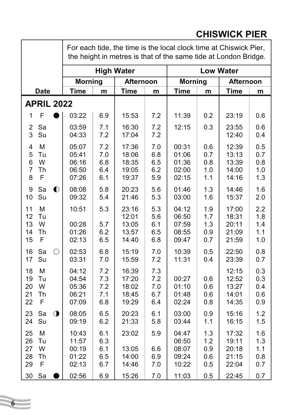#### **Date Time m Time m Time m Time m** For each tide, the time is the local clock time at Chiswick Pier, the height in metres is that of the same tide at London Bridge. **High Water Low Water Morning Afternoon Morning Afternoon APRIL 2022** 1 F ●| 03:22 | 6.9 | 15:53 | 7.2 | 11:39 | 0.2 | 23:19 | 0.6 2 Sa | 03:59 | 7.1 | 16:30 | 7.2 | 12:15 | 0.3 | 23:55 | 0.6 3 Su 04:33 7.2 17:04 7.2 12:40 0.4 4 M 05:07 7.2 17:36 7.0 00:31 0.6 12:39 0.5 5 Tu 05:41 7.0 18:06 6.8 01:06 0.7 13:13 0.7 6 W 06:16 6.8 18:35 6.5 01:36 0.8 13:39 0.8 7 Th | 06:50 | 6.4 | 19:05 | 6.2 | 02:00 | 1.0 | 14:00 | 1.0 8 F | 07:26 | 6.1 | 19:37 | 5.9 | 02:15 | 1.1 | 14:16 | 1.3 9 Sa 08:08 5.8 20:23 5.6 01:46 1.3 14:46 1.6 10 Su 09:32 5.4 21:46 5.3 03:00 1.6 15:37 2.0 11 M | 10:51 | 5.3 | 23:16 | 5.3 | 04:12 | 1.9 | 17:00 | 2.2 12 Tu 12:01 5.6 06:50 1.7 18:31 1.8 13 W | 00:28 | 5.7 | 13:05 | 6.1 | 07:59 | 1.3 | 20:11 | 1.4 14 Th 01:26 6.2 13:57 6.5 08:55 0.9 21:09 1.1 15 F | 02:13 | 6.5 | 14:40 | 6.8 | 09:47 | 0.7 | 21:59 | 1.0 16 Sa 02:53 6.8 15:19 7.0 10:39 0.5 22:50 0.8 17 Su 03:31 7.0 15:59 7.2 11:31 0.4 23:39 0.7 18 M | 04:12 | 7.2 | 16:39 | 7.3 | | | | | | 12:15 | 0.3 19 Tu 04:54 7.3 17:20 7.2 00:27 0.6 12:52 0.3 20 W 05:36 7.2 18:02 7.0 01:10 0.6 13:27 0.4 21 Th | 06:21 | 7.1 | 18:45 | 6.7 | 01:48 | 0.6 | 14:01 | 0.6 22 F 07:09 6.8 19:29 6.4 02:24 0.8 14:35 0.9 23 Sa 08:05 6.5 20:23 6.1 03:00 0.9 15:16 1.2 24 Su | 09:19 | 6.2 | 21:33 | 5.8 | 03:44 | 1.1 | 16:15 | 1.5 25 M | 10:43 | 6.1 | 23:02 | 5.9 | 04:47 | 1.3 | 17:32 | 1.6 26 Tu | 11:57 | 6.3 | | | 06:50 | 1.2 | 19:11 | 1.3 27 W | 00:19 | 6.1 | 13:05 | 6.6 | 08:07 | 0.9 | 20:18 | 1.1 28 Th | 01:22 | 6.5 | 14:00 | 6.9 | 09:24 | 0.6 | 21:15 | 0.8 29 F | 02:13 | 6.7 | 14:46 | 7.0 | 10:22 | 0.5 | 22:04 | 0.7 30 Sa 02:56 6.9 15:26 7.0 11:03 0.5 22:45 0.7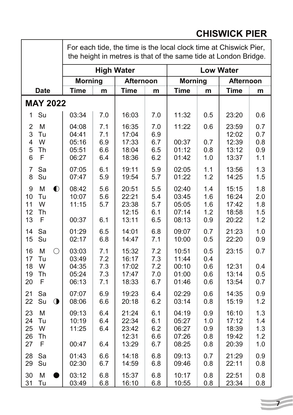#### **Date Time m Time m Time m Time m** For each tide, the time is the local clock time at Chiswick Pier, the height in metres is that of the same tide at London Bridge. **High Water Low Water Morning Afternoon Morning Afternoon MAY 2022** 1 Su | 03:34 | 7.0 | 16:03 | 7.0 | 11:32 | 0.5 | 23:20 | 0.6 2 M | 04:08 | 7.1 | 16:35 | 7.0 | 11:22 | 0.6 | 23:59 | 0.7 3 Tu | 04:41 | 7.1 | 17:04 | 6.9 | | 12:02 | 0.7 4 W 05:16 6.9 17:33 6.7 00:37 0.7 12:39 0.8 5 Th 05:51 6.6 18:04 6.5 01:12 0.8 13:12 0.9 6 F | 06:27 | 6.4 | 18:36 | 6.2 | 01:42 | 1.0 | 13:37 | 1.1 7 Sa | 07:05 | 6.1 | 19:11 | 5.9 | 02:05 | 1.1 | 13:56 | 1.3 8 Su | 07:47 | 5.9 | 19:54 | 5.7 | 01:22 | 1.2 | 14:25 | 1.5 9 M 08:42 5.6 20:51 5.5 02:40 1.4 15:15 1.8 10 Tu | 10:07 | 5.6 | 22:21 | 5.4 | 03:45 | 1.6 | 16:24 | 2.0 11 W | 11:15 | 5.7 | 23:38 | 5.7 | 05:05 | 1.6 | 17:42 | 1.8 12 Th | | | | 12:15 | 6.1 | 07:14 | 1.2 | 18:58 | 1.5 13 F | 00:37 | 6.1 | 13:11 | 6.5 | 08:13 | 0.9 | 20:22 | 1.2 14 Sa | 01:29 | 6.5 | 14:01 | 6.8 | 09:07 | 0.7 | 21:23 | 1.0 15 Su | 02:17 | 6.8 | 14:47 | 7.1 | 10:00 | 0.5 | 22:20 | 0.9 16 M 03:03 7.1 15:32 7.2 10:51 0.5 23:15 0.7 17 Tu | 03:49 | 7.2 | 16:17 | 7.3 | 11:44 | 0.4 18 W | 04:35 | 7.3 | 17:02 | 7.2 | 00:10 | 0.6 | 12:31 | 0.4 19 Th | 05:24 | 7.3 | 17:47 | 7.0 | 01:00 | 0.6 | 13:14 | 0.5 20 F | 06:13 | 7.1 | 18:33 | 6.7 | 01:46 | 0.6 | 13:54 | 0.7 21 Sa | 07:07 | 6.9 | 19:23 | 6.4 | 02:29 | 0.6 | 14:35 | 0.9 22 Su 08:06 6.6 20:18 6.2 03:14 0.8 15:19 1.2 23 M | 09:13 | 6.4 | 21:24 | 6.1 | 04:19 | 0.9 | 16:10 | 1.3 24 Tu | 10:19 | 6.4 | 22:34 | 6.1 | 05:27 | 1.0 | 17:12 | 1.4 25 W | 11:25 | 6.4 | 23:42 | 6.2 | 06:27 | 0.9 | 18:39 | 1.3 26 Th | | | 12:31 | 6.6 | 07:26 | 0.8 | 19:42 | 1.2 27 F | 00:47 | 6.4 | 13:29 | 6.7 | 08:25 | 0.8 | 20:39 | 1.0 28 Sa | 01:43 | 6.6 | 14:18 | 6.8 | 09:13 | 0.7 | 21:29 | 0.9 29 Su 02:30 6.7 14:59 6.8 09:46 0.8 22:11 0.8 30 M ●| 03:12 | 6.8 | 15:37 | 6.8 | 10:17 | 0.8 | 22:51 | 0.8 31 Tu 03:49 6.8 16:10 6.8 10:55 0.8 23:34 0.8

## **CHISWICK PIER**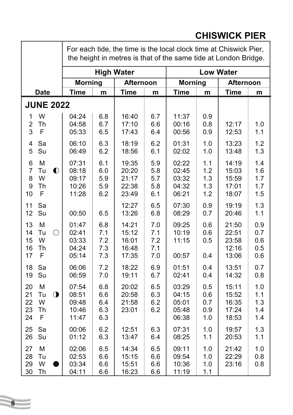#### **Date Time m Time m Time m Time m** For each tide, the time is the local clock time at Chiswick Pier, the height in metres is that of the same tide at London Bridge. **High Water Low Water Morning Afternoon Morning Afternoon JUNE 2022** 1 W 04:24 6.8 16:40 6.7 11:37 0.9 2 Th | 04:58 | 6.7 | 17:10 | 6.6 | 00:16 | 0.8 | 12:17 | 1.0 3 F 05:33 6.5 17:43 6.4 00:56 0.9 12:53 1.1 4 Sa | 06:10 | 6.3 | 18:19 | 6.2 | 01:31 | 1.0 | 13:23 | 1.2 5 Su 06:49 6.2 18:56 6.1 02:02 1.0 13:48 1.3 6 M 07:31 6.1 19:35 5.9 02:22 1.1 14:19 1.4 7 Tu 08:18 6.0 20:20 5.8 02:45 1.2 15:03 1.6 8 W | 09:17 | 5.9 | 21:17 | 5.7 | 03:32 | 1.3 | 15:59 | 1.7 9 Th 10:26 5.9 22:38 5.8 04:32 1.3 17:01 1.7 10 F | 11:28 | 6.2 | 23:49 | 6.1 | 06:21 | 1.2 | 18:07 | 1.5 11 Sa 12:27 6.5 07:30 0.9 19:19 1.3 12 Su | 00:50 | 6.5 | 13:26 | 6.8 | 08:29 | 0.7 | 20:46 | 1.1 13 M | 01:47 | 6.8 | 14:21 | 7.0 | 09:25 | 0.6 | 21:50 | 0.9 14 Tu 02:41 7.1 15:12 7.1 10:19 0.6 22:51 0.7 15 W 03:33 7.2 16:01 7.2 11:15 0.5 23:58 0.6 16 Th | 04:24 | 7.3 | 16:48 | 7.1 | | | | | | 12:16 | 0.5 17 F | 05:14 | 7.3 | 17:35 | 7.0 | 00:57 | 0.4 | 13:06 | 0.6 18 Sa 06:06 7.2 18:22 6.9 01:51 0.4 13:51 0.7 19 Su 06:59 7.0 19:11 6.7 02:41 0.4 14:32 0.8 20 M | 07:54 | 6.8 | 20:02 | 6.5 | 03:29 | 0.5 | 15:11 | 1.0 21 Tu 08:51 6.6 20:58 6.3 04:15 0.6 15:52 1.1 22 W | 09:48 | 6.4 | 21:58 | 6.2 | 05:01 | 0.7 | 16:35 | 1.3 23 Th | 10:46 | 6.3 | 23:01 | 6.2 | 05:48 | 0.9 | 17:24 | 1.4 24 F | 11:47 | 6.3 | | | 06:38 | 1.0 | 18:53 | 1.4 25 Sa | 00:06 | 6.2 | 12:51 | 6.3 | 07:31 | 1.0 | 19:57 | 1.3 26 Su | 01:12 | 6.3 | 13:47 | 6.4 | 08:25 | 1.1 | 20:53 | 1.1 27 M | 02:06 | 6.5 | 14:34 | 6.5 | 09:11 | 1.0 | 21:42 | 1.0 28 Tu | 02:53 | 6.6 | 15:15 | 6.6 | 09:54 | 1.0 | 22:29 | 0.8 29 W ●| 03:34 | 6.6 | 15:51 | 6.6 | 10:36 | 1.0 | 23:16 | 0.8 30 Th 04:11 6.6 16:23 6.6 11:19 1.1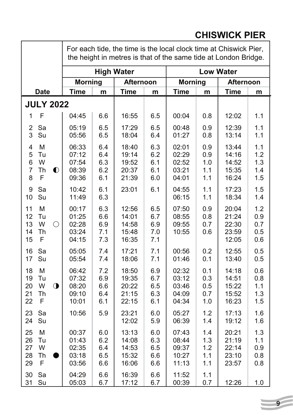|                                                                            | For each tide, the time is the local clock time at Chiswick Pier,<br>the height in metres is that of the same tide at London Bridge. |                                 |                                           |                                 |                                           |                                 |                                           |                                 |
|----------------------------------------------------------------------------|--------------------------------------------------------------------------------------------------------------------------------------|---------------------------------|-------------------------------------------|---------------------------------|-------------------------------------------|---------------------------------|-------------------------------------------|---------------------------------|
|                                                                            | <b>High Water</b>                                                                                                                    |                                 | <b>Low Water</b>                          |                                 |                                           |                                 |                                           |                                 |
|                                                                            | <b>Morning</b>                                                                                                                       |                                 | <b>Afternoon</b>                          |                                 | <b>Morning</b>                            |                                 | <b>Afternoon</b>                          |                                 |
| <b>Date</b>                                                                | <b>Time</b>                                                                                                                          | m                               | <b>Time</b>                               | m                               | <b>Time</b>                               | m                               | <b>Time</b>                               | m                               |
| <b>JULY 2022</b>                                                           |                                                                                                                                      |                                 |                                           |                                 |                                           |                                 |                                           |                                 |
| F<br>1                                                                     | 04:45                                                                                                                                | 6.6                             | 16:55                                     | 6.5                             | 00:04                                     | 0.8                             | 12:02                                     | 1.1                             |
| $\overline{c}$<br>Sa<br>3<br>Su                                            | 05:19<br>05:56                                                                                                                       | 6.5<br>6.5                      | 17:29<br>18:04                            | 6.5<br>6.4                      | 00:48<br>01:27                            | 0.9<br>0.8                      | 12:39<br>13:14                            | 1.1<br>1.1                      |
| M<br>4<br>5<br>Tu<br>W<br>6<br>$\overline{7}$<br>Th<br>$\bullet$<br>F<br>8 | 06:33<br>07:12<br>07:54<br>08:39<br>09:36                                                                                            | 6.4<br>6.4<br>6.3<br>6.2<br>6.1 | 18:40<br>19:14<br>19:52<br>20:37<br>21:39 | 6.3<br>6.2<br>6.1<br>6.1<br>6.0 | 02:01<br>02:29<br>02:52<br>03:21<br>04:01 | 0.9<br>0.9<br>1.0<br>1.1<br>1.1 | 13:44<br>14:16<br>14:52<br>15:35<br>16:24 | 1.1<br>1.2<br>1.3<br>1.4<br>1.5 |
| Sa<br>9<br>Su<br>10                                                        | 10:42<br>11:49                                                                                                                       | 6.1<br>6.3                      | 23:01                                     | 6.1                             | 04:55<br>06:15                            | 1.1<br>1.1                      | 17:23<br>18:34                            | 1.5<br>1.4                      |
| 11<br>M<br>12<br>Tu<br>W<br>13<br>$\bigcirc$<br>14<br>Th<br>F<br>15        | 00:17<br>01:25<br>02:28<br>03:24<br>04:15                                                                                            | 6.3<br>6.6<br>6.9<br>7.1<br>7.3 | 12:56<br>14:01<br>14:58<br>15:48<br>16:35 | 6.5<br>6.7<br>6.9<br>7.0<br>7.1 | 07:50<br>08:55<br>09:55<br>10:55          | 0.9<br>0.8<br>0.7<br>0.6        | 20:04<br>21:24<br>22:30<br>23:59<br>12:05 | 1.2<br>0.9<br>0.7<br>0.5<br>0.6 |
| Sa<br>16<br>17<br>Su                                                       | 05:05<br>05:54                                                                                                                       | 7.4<br>7.4                      | 17:21<br>18:06                            | 7.1<br>7.1                      | 00:56<br>01:46                            | 0.2<br>0.1                      | 12:55<br>13:40                            | 0.5<br>0.5                      |
| M<br>18<br>19<br>Tu<br>W<br>$\bigcirc$<br>20<br>Th<br>21<br>22<br>F        | 06:42<br>07:32<br>08:20<br>09:10<br>10:01                                                                                            | 7.2<br>6.9<br>6.6<br>6.4<br>6.1 | 18:50<br>19:35<br>20:22<br>21:15<br>22:15 | 6.9<br>6.7<br>6.5<br>6.3<br>6.1 | 02:32<br>03:12<br>03:46<br>04:09<br>04:34 | 0.1<br>0.3<br>0.5<br>0.7<br>1.0 | 14:18<br>14:51<br>15:22<br>15:52<br>16:23 | 0.6<br>0.8<br>1.1<br>1.3<br>1.5 |
| 23<br>Sa<br>Su<br>24                                                       | 10:56                                                                                                                                | 5.9                             | 23:21<br>12:02                            | 6.0<br>5.9                      | 05:27<br>06:39                            | 1.2<br>1.4                      | 17:13<br>19:12                            | 1.6<br>1.6                      |
| 25<br>М<br>Tu<br>26<br>27<br>W<br>Th<br>28<br>F<br>29                      | 00:37<br>01:43<br>02:35<br>03:18<br>03:56                                                                                            | 6.0<br>6.2<br>6.4<br>6.5<br>6.6 | 13:13<br>14:08<br>14:53<br>15:32<br>16:06 | 6.0<br>6.3<br>6.5<br>6.6<br>6.6 | 07:43<br>08:44<br>09:37<br>10:27<br>11:13 | 1.4<br>1.3<br>1.2<br>1.1<br>1.1 | 20:21<br>21:19<br>22:14<br>23:10<br>23:57 | 1.3<br>1.1<br>0.9<br>0.8<br>0.8 |
| 30<br>Sa<br>31<br>Su                                                       | 04:29<br>05:03                                                                                                                       | 6.6<br>6.7                      | 16:39<br>17:12                            | 6.6<br>6.7                      | 11:52<br>00:39                            | 1.1<br>0.7                      | 12:26                                     | 1.0                             |

# **CHISWICK PIER**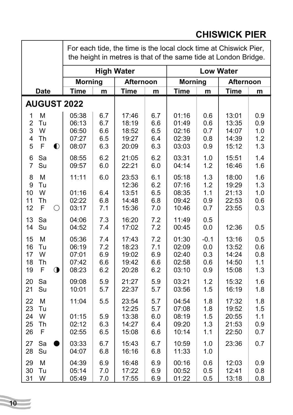#### **Date Time m Time m Time m Time m** For each tide, the time is the local clock time at Chiswick Pier, the height in metres is that of the same tide at London Bridge. **High Water Low Water Morning Afternoon Morning Afternoon AUGUST 2022** 1 M | 05:38 | 6.7 | 17:46 | 6.7 | 01:16 | 0.6 | 13:01 | 0.9 2 Tu | 06:13 | 6.7 | 18:19 | 6.6 | 01:49 | 0.6 | 13:35 | 0.9 3 W | 06:50 | 6.6 | 18:52 | 6.5 | 02:16 | 0.7 | 14:07 | 1.0 4 Th 07:27 6.5 19:27 6.4 02:39 0.8 14:39 1.2 5 F 08:07 6.3 20:09 6.3 03:03 0.9 15:12 1.3 6 Sa | 08:55 | 6.2 | 21:05 | 6.2 | 03:31 | 1.0 | 15:51 | 1.4 7 Su | 09:57 | 6.0 | 22:21 | 6.0 | 04:14 | 1.2 | 16:46 | 1.6 8 M | 11:11 | 6.0 | 23:53 | 6.1 | 05:18 | 1.3 | 18:00 | 1.6 9 Tu 12:36 6.2 07:16 1.2 19:29 1.3 10 W | 01:16 | 6.4 | 13:51 | 6.5 | 08:35 | 1.1 | 21:13 | 1.0 11 Th 02:22 6.8 14:48 6.8 09:42 0.9 22:53 0.6 12 F 03:17 7.1 15:36 7.0 10:46 0.7 23:55 0.3 13 Sa 04:06 7.3 16:20 7.2 11:49 0.5 14 Su 04:52 7.4 17:02 7.2 00:45 0.0 12:36 0.5 15 M | 05:36 | 7.4 | 17:43 | 7.2 | 01:30 | -0.1 | 13:16 | 0.5 16 Tu 06:19 7.2 18:23 7.1 02:09 0.0 13:52 0.6 17 W | 07:01 | 6.9 | 19:02 | 6.9 | 02:40 | 0.3 | 14:24 | 0.8 18 Th | 07:42 | 6.6 | 19:42 | 6.6 | 02:58 | 0.6 | 14:50 | 1.1 19 F 08:23 6.2 20:28 6.2 03:10 0.9 15:08 1.3 20 Sa | 09:08 | 5.9 | 21:27 | 5.9 | 03:21 | 1.2 | 15:32 | 1.6 21 Su | 10:01 | 5.7 | 22:37 | 5.7 | 03:56 | 1.5 | 16:19 | 1.8 22 M | 11:04 | 5.5 | 23:54 | 5.7 | 04:54 | 1.8 | 17:32 | 1.8 23 Tu 12:25 5.7 07:08 1.8 19:52 1.5 24 W | 01:15 | 5.9 | 13:38 | 6.0 | 08:19 | 1.5 | 20:55 | 1.1 25 Th 02:12 6.3 14:27 6.4 09:20 1.3 21:53 0.9 26 F | 02:55 | 6.5 | 15:08 | 6.6 | 10:14 | 1.1 | 22:50 | 0.7 27 Sa 03:33 6.7 15:43 6.7 10:59 1.0 23:36 0.7 28 Su | 04:07 | 6.8 | 16:16 | 6.8 | 11:33 | 1.0 29 M | 04:39 | 6.9 | 16:48 | 6.9 | 00:16 | 0.6 | 12:03 | 0.9 30 Tu 05:14 7.0 17:22 6.9 00:52 0.5 12:41 0.8 31 W 05:49 7.0 17:55 6.9 01:22 0.5 13:18 0.8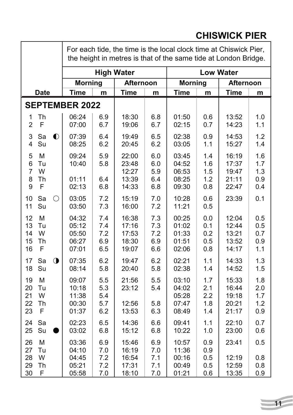#### **Date Time m Time m Time m Time m** For each tide, the time is the local clock time at Chiswick Pier, the height in metres is that of the same tide at London Bridge. **High Water Low Water Morning Afternoon Morning Afternoon SEPTEMBER 2022** 1 Th 06:24 6.9 18:30 6.8 01:50 0.6 13:52 1.0 2 F | 07:00 | 6.7 | 19:06 | 6.7 | 02:15 | 0.7 | 14:23 | 1.1 3 Sa 07:39 6.4 19:49 6.5 02:38 0.9 14:53 1.2 4 Su 08:25 6.2 20:45 6.2 03:05 1.1 15:27 1.4 5 M 09:24 5.9 22:00 6.0 03:45 1.4 16:19 1.6 6 Tu | 10:40 | 5.8 | 23:48 | 6.0 | 04:52 | 1.6 | 17:37 | 1.7 7 W 12:27 5.9 06:53 1.5 19:47 1.3 8 Th 01:11 6.4 13:39 6.4 08:25 1.2 21:11 0.9 9 F 02:13 6.8 14:33 6.8 09:30 0.8 22:47 0.4 10 Sa 03:05 7.2 15:19 7.0 10:28 0.6 23:39 0.1 11 Su 03:50 7.3 16:00 7.2 11:21 0.5 12 M 04:32 7.4 16:38 7.3 00:25 0.0 12:04 0.5 13 Tu | 05:12 | 7.4 | 17:16 | 7.3 | 01:02 | 0.1 | 12:44 | 0.5 14 W | 05:50 | 7.2 | 17:53 | 7.2 | 01:33 | 0.2 | 13:21 | 0.7 15 Th | 06:27 | 6.9 | 18:30 | 6.9 | 01:51 | 0.5 | 13:52 | 0.9 16 F | 07:01 | 6.5 | 19:07 | 6.6 | 02:06 | 0.8 | 14:17 | 1.1 17 Sa 07:35 6.2 19:47 6.2 02:21 1.1 14:33 1.3 18 Su 08:14 5.8 20:40 5.8 02:38 1.4 14:52 1.5 19 M | 09:07 | 5.5 | 21:56 | 5.5 | 03:10 | 1.7 | 15:33 | 1.8 20 Tu | 10:18 | 5.3 | 23:12 | 5.4 | 04:02 | 2.1 | 16:44 | 2.0 21 W | 11:38 | 5.4 | | | 05:28 | 2.2 | 19:18 | 1.7 22 Th | 00:30 | 5.7 | 12:56 | 5.8 | 07:47 | 1.8 | 20:21 | 1.2 23 F | 01:37 | 6.2 | 13:53 | 6.3 | 08:49 | 1.4 | 21:17 | 0.9 24 Sa | 02:23 | 6.5 | 14:36 | 6.6 | 09:41 | 1.1 | 22:10 | 0.7 25 Su ●| 03:02 | 6.8 | 15:12 | 6.8 | 10:22 | 1.0 | 23:00 | 0.6 26 M 03:36 6.9 15:46 6.9 10:57 0.9 23:41 0.5 27 Tu | 04:10 | 7.0 | 16:19 | 7.0 | 11:36 | 0.9 28 W 04:45 7.2 16:54 7.1 00:16 0.5 12:19 0.8 29 Th | 05:21 | 7.2 | 17:31 | 7.1 | 00:49 | 0.5 | 12:59 | 0.8 30 F 05:58 7.0 18:10 7.0 01:21 0.6 13:35 0.9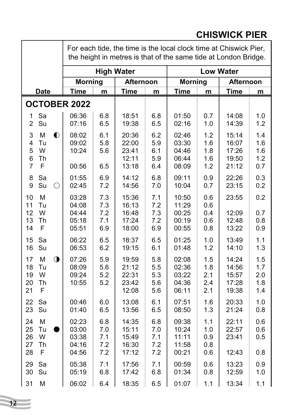#### **Date Time m Time m Time m Time m** For each tide, the time is the local clock time at Chiswick Pier, the height in metres is that of the same tide at London Bridge. **High Water Low Water Morning Afternoon Morning Afternoon OCTOBER 2022** 1 Sa | 06:36 | 6.8 | 18:51 | 6.8 | 01:50 | 0.7 | 14:08 | 1.0 2 Su | 07:16 | 6.5 | 19:38 | 6.5 | 02:16 | 1.0 | 14:39 | 1.2 3 M 08:02 6.1 20:36 6.2 02:46 1.2 15:14 1.4 4 Tu 09:02 5.8 22:00 5.9 03:30 1.6 16:07 1.6 5 W 10:24 5.6 23:41 6.1 04:46 1.8 17:26 1.6 6 Th 12:11 5.9 06:44 1.6 19:50 1.2 7 F | 00:56 | 6.5 | 13:18 | 6.4 | 08:09 | 1.2 | 21:12 | 0.7 8 Sa | 01:55 | 6.9 | 14:12 | 6.8 | 09:11 | 0.9 | 22:26 | 0.3 9 Su 02:45 7.2 14:56 7.0 10:04 0.7 23:15 0.2 10 M | 03:28 | 7.3 | 15:36 | 7.1 | 10:50 | 0.6 | 23:55 | 0.2 11 Tu 04:08 7.3 16:13 7.2 11:29 0.6 12 W 04:44 7.2 16:48 7.3 00:25 0.4 12:09 0.7 13 Th | 05:18 | 7.1 | 17:24 | 7.2 | 00:19 | 0.6 | 12:48 | 0.8 14 F 05:51 6.9 18:00 6.9 00:55 0.8 13:22 0.9 15 Sa | 06:22 | 6.5 | 18:37 | 6.5 | 01:25 | 1.0 | 13:49 | 1.1 16 Su | 06:53 | 6.2 | 19:15 | 6.1 | 01:48 | 1.2 | 14:10 | 1.3 17 M 07:26 5.9 19:59 5.8 02:08 1.5 14:24 1.5 18 Tu | 08:09 | 5.6 | 21:12 | 5.5 | 02:36 | 1.8 | 14:56 | 1.7 19 W 09:24 5.2 22:31 5.3 03:22 2.1 15:57 2.0 20 Th | 10:55 | 5.2 | 23:42 | 5.6 | 04:36 | 2.4 | 17:28 | 1.8 21 F | | | 12:08 | 5.6 | 06:11 | 2.1 | 19:38 | 1.4 22 Sa | 00:46 | 6.0 | 13:08 | 6.1 | 07:51 | 1.6 | 20:33 | 1.0 23 Su | 01:40 | 6.5 | 13:56 | 6.5 | 08:50 | 1.3 | 21:24 | 0.8 24 M 02:23 6.8 14:35 6.8 09:38 1.1 22:11 0.6 25 Tu ●| 03:00 | 7.0 | 15:11 | 7.0 | 10:24 | 1.0 | 22:57 | 0.6 26 W | 03:38 | 7.1 | 15:49 | 7.1 | 11:11 | 0.9 | 23:41 | 0.5 27 Th | 04:16 | 7.2 | 16:30 | 7.2 | 11:58 | 0.8 28 F | 04:56 | 7.2 | 17:12 | 7.2 | 00:21 | 0.6 | 12:43 | 0.8 29 Sa | 05:38 | 7.1 | 17:56 | 7.1 | 00:59 | 0.6 | 13:23 | 0.9 30 Su | 05:19 | 6.8 | 17:42 | 6.8 | 01:34 | 0.8 | 12:59 | 1.0 31 M | 06:02 | 6.4 | 18:35 | 6.5 | 01:07 | 1.1 | 13:34 | 1.1

**CHISWICK PIER**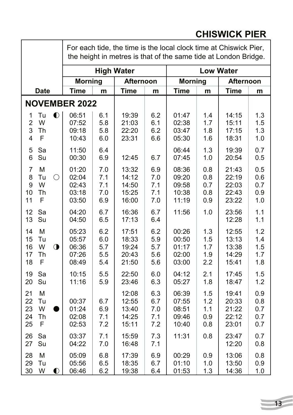#### **Date Time m Time m Time m Time m** For each tide, the time is the local clock time at Chiswick Pier, the height in metres is that of the same tide at London Bridge. **High Water Low Water Morning Afternoon Morning Afternoon NOVEMBER 2022** 1 Tu 06:51 6.1 19:39 6.2 01:47 1.4 14:15 1.3 2 W | 07:52 | 5.8 | 21:03 | 6.1 | 02:38 | 1.7 | 15:11 | 1.5 3 Th | 09:18 | 5.8 | 22:20 | 6.2 | 03:47 | 1.8 | 17:15 | 1.3 4 F | 10:43 | 6.0 | 23:31 | 6.6 | 05:30 | 1.6 | 18:31 | 1.0 5 Sa 11:50 6.4 06:44 1.3 19:39 0.7 6 Su 00:30 6.9 12:45 6.7 07:45 1.0 20:54 0.5 7 M 01:20 7.0 13:32 6.9 08:36 0.8 21:43 0.5 8 Tu 02:04 7.1 14:12 7.0 09:20 0.8 22:19 0.6 9 W 02:43 7.1 14:50 7.1 09:58 0.7 22:03 0.7 10 Th | 03:18 | 7.0 | 15:25 | 7.1 | 10:38 | 0.8 | 22:43 | 0.9 11 F 03:50 6.9 16:00 7.0 11:19 0.9 23:22 1.0 12 Sa | 04:20 | 6.7 | 16:36 | 6.7 | 11:56 | 1.0 | 23:56 | 1.1 13 Su | 04:50 | 6.5 | 17:13 | 6.4 | | | | | | 12:28 | 1.1 14 M | 05:23 | 6.2 | 17:51 | 6.2 | 00:26 | 1.3 | 12:55 | 1.2 15 Tu | 05:57 | 6.0 | 18:33 | 5.9 | 00:50 | 1.5 | 13:13 | 1.4 16 W 06:36 5.7 19:24 5.7 01:17 1.7 13:38 1.5 17 Th | 07:26 | 5.5 | 20:43 | 5.6 | 02:00 | 1.9 | 14:29 | 1.7 18 F | 08:49 | 5.4 | 21:50 | 5.6 | 03:00 | 2.2 | 15:41 | 1.8 19 Sa | 10:15 | 5.5 | 22:50 | 6.0 | 04:12 | 2.1 | 17:45 | 1.5 20 Su | 11:16 | 5.9 | 23:46 | 6.3 | 05:27 | 1.8 | 18:47 | 1.2 21 M 12:08 6.3 06:39 1.5 19:41 0.9 22 Tu | 00:37 | 6.7 | 12:55 | 6.7 | 07:55 | 1.2 | 20:33 | 0.8 23 W ●| 01:24 | 6.9 | 13:40 | 7.0 | 08:51 | 1.1 | 21:22 | 0.7 24 Th 02:08 7.1 14:25 7.1 09:46 0.9 22:12 0.7 25 F | 02:53 | 7.2 | 15:11 | 7.2 | 10:40 | 0.8 | 23:01 | 0.7 26 Sa | 03:37 | 7.1 | 15:59 | 7.3 | 11:31 | 0.8 | 23:47 | 0.7 27 Su | 04:22 | 7.0 | 16:48 | 7.1 | | | 12:20 | 0.8 28 M 05:09 6.8 17:39 6.9 00:29 0.9 13:06 0.8 29 Tu | 05:56 | 6.5 | 18:35 | 6.7 | 01:10 | 1.0 | 13:50 | 0.9 30 W 06:46 6.2 19:38 6.4 01:53 1.3 14:36 1.0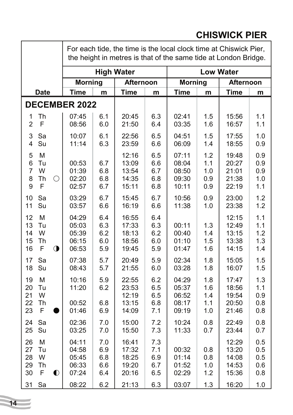|                                                                                | For each tide, the time is the local clock time at Chiswick Pier,<br>the height in metres is that of the same tide at London Bridge. |                                        |                                                    |                                        |                                           |                                 |                                                    |                                        |  |
|--------------------------------------------------------------------------------|--------------------------------------------------------------------------------------------------------------------------------------|----------------------------------------|----------------------------------------------------|----------------------------------------|-------------------------------------------|---------------------------------|----------------------------------------------------|----------------------------------------|--|
|                                                                                | <b>High Water</b>                                                                                                                    |                                        |                                                    | <b>Low Water</b>                       |                                           |                                 |                                                    |                                        |  |
|                                                                                | <b>Morning</b>                                                                                                                       |                                        | Afternoon                                          |                                        | <b>Morning</b>                            |                                 | <b>Afternoon</b>                                   |                                        |  |
| <b>Date</b>                                                                    | <b>Time</b>                                                                                                                          | m                                      | <b>Time</b>                                        | m                                      | <b>Time</b>                               | m                               | <b>Time</b>                                        | m                                      |  |
| <b>DECEMBER 2022</b>                                                           |                                                                                                                                      |                                        |                                                    |                                        |                                           |                                 |                                                    |                                        |  |
| Th<br>1<br>F<br>$\overline{2}$                                                 | 07:45<br>08:56                                                                                                                       | 6.1<br>6.0                             | 20:45<br>21:50                                     | 6.3<br>6.4                             | 02:41<br>03:35                            | 1.5<br>1.6                      | 15:56<br>16:57                                     | 1.1<br>1.1                             |  |
| Sa<br>3<br>Su<br>4                                                             | 10:07<br>11:14                                                                                                                       | 6.1<br>6.3                             | 22:56<br>23:59                                     | 6.5<br>6.6                             | 04:51<br>06:09                            | 1.5<br>1.4                      | 17:55<br>18:55                                     | 1.0<br>0.9                             |  |
| 5<br>M<br>Tu<br>6<br>W<br>7<br>8<br>Th<br>O<br>F<br>9                          | 00:53<br>01:39<br>02:20<br>02:57                                                                                                     | 6.7<br>6.8<br>6.8<br>6.7               | 12:16<br>13:09<br>13:54<br>14:35<br>15:11          | 6.5<br>6.6<br>6.7<br>6.8<br>6.8        | 07:11<br>08:04<br>08:50<br>09:30<br>10:11 | 1.2<br>1.1<br>1.0<br>0.9<br>0.9 | 19:48<br>20:27<br>21:01<br>21:38<br>22:19          | 0.9<br>0.9<br>0.9<br>1.0<br>1.1        |  |
| 10<br>Sa<br>Su<br>11                                                           | 03:29<br>03:57                                                                                                                       | 6.7<br>6.6                             | 15:45<br>16:19                                     | 6.7<br>6.6                             | 10:56<br>11:38                            | 0.9<br>1.0                      | 23:00<br>23:38                                     | 1.2<br>1.2                             |  |
| 12<br>M<br>13<br>Tu<br>W<br>14<br>15<br>Th<br>F<br>$\bigcirc$<br>16            | 04:29<br>05:03<br>05:39<br>06:15<br>06:53                                                                                            | 6.4<br>6.3<br>6.2<br>6.0<br>5.9        | 16:55<br>17:33<br>18:13<br>18:56<br>19:45          | 6.4<br>6.3<br>6.2<br>6.0<br>5.9        | 00:11<br>00:40<br>01:10<br>01:47          | 1.3<br>1.4<br>1.5<br>1.6        | 12:15<br>12:49<br>13:15<br>13:38<br>14:15          | 1.1<br>1.1<br>1.2<br>1.3<br>1.4        |  |
| Sa<br>17<br>18<br>Su                                                           | 07:38<br>08:43                                                                                                                       | 5.7<br>5.7                             | 20:49<br>21:55                                     | 5.9<br>6.0                             | 02:34<br>03:28                            | 1.8<br>1.8                      | 15:05<br>16:07                                     | 1.5<br>1.5                             |  |
| 19<br>M<br>20<br>Tu<br>W<br>21<br>22<br>Th<br>F<br>23                          | 10:16<br>11:20<br>00:52<br>01:46                                                                                                     | 5.9<br>6.2<br>6.8<br>6.9               | 22:55<br>23:53<br>12:19<br>13:15<br>14:09          | 6.2<br>6.5<br>6.5<br>6.8<br>7.1        | 04:29<br>05:37<br>06:52<br>08:17<br>09:19 | 1.8<br>1.6<br>1.4<br>1.1<br>1.0 | 17:47<br>18:56<br>19:54<br>20:50<br>21:46          | 1.3<br>1.1<br>0.9<br>0.8<br>0.8        |  |
| Sa<br>24<br>25<br>Su                                                           | 02:36<br>03:25                                                                                                                       | 7.0<br>7.0                             | 15:00<br>15:50                                     | 7.2<br>7.3                             | 10:24<br>11:33                            | 0.8<br>0.7                      | 22:49<br>23:44                                     | 0.8<br>0.7                             |  |
| M<br>26<br>27<br>Tu<br>W<br>28<br>29<br>Th<br>F<br>30<br>$\bullet$<br>Sa<br>31 | 04:11<br>04:58<br>05:45<br>06:33<br>07:24<br>08:22                                                                                   | 7.0<br>6.9<br>6.8<br>6.6<br>6.4<br>6.2 | 16:41<br>17:32<br>18:25<br>19:20<br>20:16<br>21:13 | 7.3<br>7.1<br>6.9<br>6.7<br>6.5<br>6.3 | 00:32<br>01:14<br>01:52<br>02:29<br>03:07 | 0.8<br>0.8<br>1.0<br>1.2<br>1.3 | 12:29<br>13:20<br>14:08<br>14:53<br>15:36<br>16:20 | 0.5<br>0.5<br>0.5<br>0.6<br>0.8<br>1.0 |  |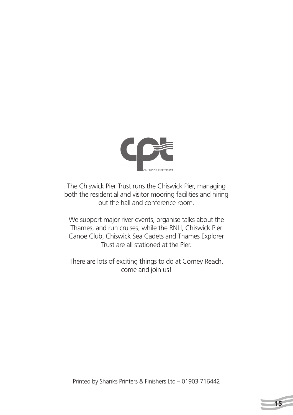

The Chiswick Pier Trust runs the Chiswick Pier, managing both the residential and visitor mooring facilities and hiring out the hall and conference room.

We support major river events, organise talks about the Thames, and run cruises, while the RNLI, Chiswick Pier Canoe Club, Chiswick Sea Cadets and Thames Explorer Trust are all stationed at the Pier.

There are lots of exciting things to do at Corney Reach, come and join us!

Printed by Shanks Printers & Finishers Ltd – 01903 716442